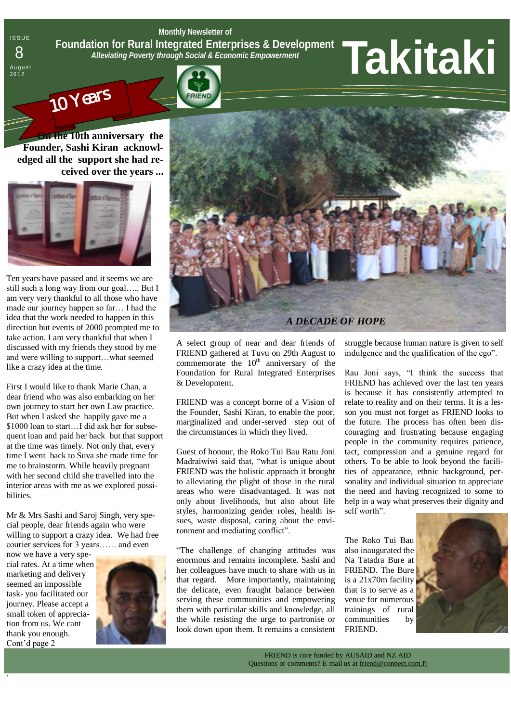**Monthly Newsletter of Foundation for Rural Integrated Enterprises & Development**  *Alleviating Poverty through Social & Economic Empowerment*

# 2 0 1 2 **Takitaki** <sup>8</sup>



**ISSUE** 

August<br>2012



**On the 10th anniversary the Founder, Sashi Kiran acknowledged all the support she had received over the years ...** 



Ten years have passed and it seems we are still such a long way from our goal….. But I am very very thankful to all those who have made our journey happen so far... I had the idea that the work needed to happen in this direction but events of 2000 prompted me to take action. I am very thankful that when I discussed with my friends they stood by me and were willing to support…what seemed like a crazy idea at the time.

First I would like to thank Marie Chan, a dear friend who was also embarking on her own journey to start her own Law practice. But when I asked she happily gave me a \$1000 loan to start...I did ask her for subsequent loan and paid her back but that support at the time was timely. Not only that, every time I went back to Suva she made time for me to brainstorm. While heavily pregnant with her second child she travelled into the interior areas with me as we explored possibilities.

Mr & Mrs Sashi and Saroj Singh, very special people, dear friends again who were willing to support a crazy idea. We had free courier services for 3 years…… and even

now we have a very special rates. At a time when marketing and delivery seemed an impossible task- you facilitated our journey. Please accept a small token of appreciation from us. We cant thank you enough. Cont"d page 2

.





A select group of near and dear friends of FRIEND gathered at Tuvu on 29th August to commemorate the  $10<sup>th</sup>$  anniversary of the Foundation for Rural Integrated Enterprises & Development.

FRIEND was a concept borne of a Vision of the Founder, Sashi Kiran, to enable the poor, marginalized and under-served step out of the circumstances in which they lived.

Guest of honour, the Roko Tui Bau Ratu Joni Madraiwiwi said that, "what is unique about FRIEND was the holistic approach it brought to alleviating the plight of those in the rural areas who were disadvantaged. It was not only about livelihoods, but also about life styles, harmonizing gender roles, health issues, waste disposal, caring about the environment and mediating conflict".

"The challenge of changing attitudes was enormous and remains incomplete. Sashi and her colleagues have much to share with us in that regard. More importantly, maintaining the delicate, even fraught balance between serving these communities and empowering them with particular skills and knowledge, all the while resisting the urge to partronise or look down upon them. It remains a consistent struggle because human nature is given to self indulgence and the qualification of the ego".

Rau Joni says, "I think the success that FRIEND has achieved over the last ten years is because it has consistently attempted to relate to reality and on their terms. It is a lesson you must not forget as FRIEND looks to the future. The process has often been discouraging and frustrating because engaging people in the community requires patience, tact, compression and a genuine regard for others. To be able to look beyond the facilities of appearance, ethnic background, personality and individual situation to appreciate the need and having recognized to some to help in a way what preserves their dignity and self worth".

The Roko Tui Bau also inaugurated the Na Tatadra Bure at FRIEND. The Bure is a 21x70m facility that is to serve as a venue for numerous trainings of rural communities by FRIEND.

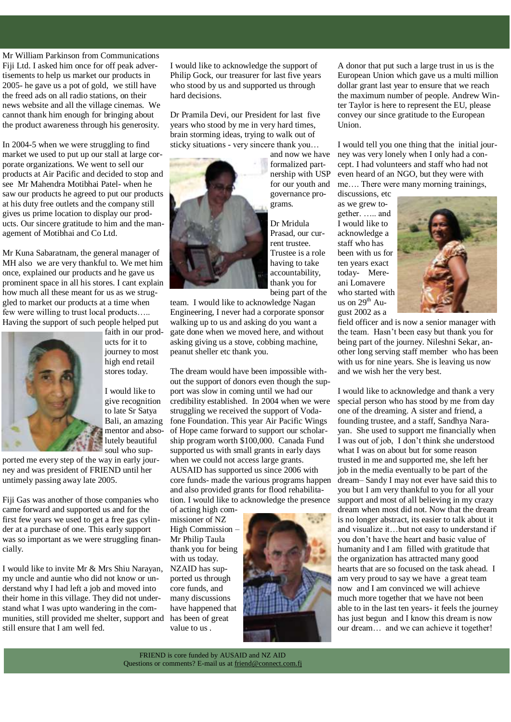Mr William Parkinson from Communications Fiji Ltd. I asked him once for off peak advertisements to help us market our products in 2005- he gave us a pot of gold, we still have the freed ads on all radio stations, on their news website and all the village cinemas. We cannot thank him enough for bringing about the product awareness through his generosity.

In 2004-5 when we were struggling to find market we used to put up our stall at large corporate organizations. We went to sell our products at Air Pacific and decided to stop and see Mr Mahendra Motibhai Patel- when he saw our products he agreed to put our products at his duty free outlets and the company still gives us prime location to display our products. Our sincere gratitude to him and the management of Motibhai and Co Ltd.

Mr Kuna Sabaratnam, the general manager of MH also we are very thankful to. We met him once, explained our products and he gave us prominent space in all his stores. I cant explain how much all these meant for us as we struggled to market our products at a time when few were willing to trust local products….. Having the support of such people helped put



faith in our products for it to journey to most high end retail stores today.

I would like to give recognition to late Sr Satya Bali, an amazing mentor and absolutely beautiful soul who sup-

ported me every step of the way in early journey and was president of FRIEND until her untimely passing away late 2005.

Fiji Gas was another of those companies who came forward and supported us and for the first few years we used to get a free gas cylinder at a purchase of one. This early support was so important as we were struggling financially.

I would like to invite Mr & Mrs Shiu Narayan, my uncle and auntie who did not know or understand why I had left a job and moved into their home in this village. They did not understand what I was upto wandering in the communities, still provided me shelter, support and still ensure that I am well fed.

I would like to acknowledge the support of Philip Gock, our treasurer for last five years who stood by us and supported us through hard decisions.

Dr Pramila Devi, our President for last five years who stood by me in very hard times, brain storming ideas, trying to walk out of sticky situations - very sincere thank you…



and now we have formalized partnership with USP for our youth and governance programs.

Dr Mridula Prasad, our current trustee. Trustee is a role having to take accountability, thank you for being part of the

team. I would like to acknowledge Nagan Engineering, I never had a corporate sponsor walking up to us and asking do you want a gate done when we moved here, and without asking giving us a stove, cobbing machine, peanut sheller etc thank you.

The dream would have been impossible without the support of donors even though the support was slow in coming until we had our credibility established. In 2004 when we were struggling we received the support of Vodafone Foundation. This year Air Pacific Wings of Hope came forward to support our scholarship program worth \$100,000. Canada Fund supported us with small grants in early days when we could not access large grants. AUSAID has supported us since 2006 with core funds- made the various programs happen

and also provided grants for flood rehabilitation. I would like to acknowledge the presence

of acting high commissioner of NZ High Commission – Mr Philip Taula thank you for being with us today. NZAID has supported us through core funds, and many discussions have happened that has been of great value to us .



A donor that put such a large trust in us is the European Union which gave us a multi million dollar grant last year to ensure that we reach the maximum number of people. Andrew Winter Taylor is here to represent the EU, please convey our since gratitude to the European Union.

I would tell you one thing that the initial journey was very lonely when I only had a concept. I had volunteers and staff who had not even heard of an NGO, but they were with me…. There were many morning trainings,

discussions, etc as we grew together. ….. and I would like to acknowledge a staff who has been with us for ten years exact today- Mereani Lomavere who started with us on  $29<sup>th</sup>$  August 2002 as a



field officer and is now a senior manager with the team. Hasn"t been easy but thank you for being part of the journey. Nileshni Sekar, another long serving staff member who has been with us for nine years. She is leaving us now and we wish her the very best.

I would like to acknowledge and thank a very special person who has stood by me from day one of the dreaming. A sister and friend, a founding trustee, and a staff, Sandhya Narayan. She used to support me financially when I was out of job, I don"t think she understood what I was on about but for some reason trusted in me and supported me, she left her job in the media eventually to be part of the dream– Sandy I may not ever have said this to you but I am very thankful to you for all your support and most of all believing in my crazy dream when most did not. Now that the dream is no longer abstract, its easier to talk about it and visualize it…but not easy to understand if you don"t have the heart and basic value of humanity and I am filled with gratitude that the organization has attracted many good hearts that are so focused on the task ahead. I am very proud to say we have a great team now and I am convinced we will achieve much more together that we have not been able to in the last ten years- it feels the journey has just begun and I know this dream is now our dream… and we can achieve it together!

FRIEND is core funded by AUSAID and NZ AID Questions or comments? E-mail us at friend@connect.com.fj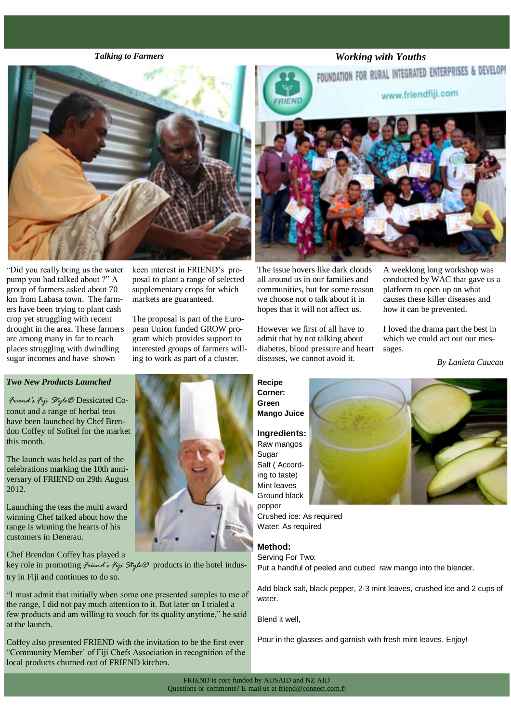

"Did you really bring us the water pump you had talked about ?" A group of farmers asked about 70 km from Labasa town. The farmers have been trying to plant cash crop yet struggling with recent drought in the area. These farmers are among many in far to reach places struggling with dwindling sugar incomes and have shown

keen interest in FRIEND"s proposal to plant a range of selected supplementary crops for which markets are guaranteed.

The proposal is part of the European Union funded GROW program which provides support to interested groups of farmers willing to work as part of a cluster.

#### *Two New Products Launched*

*Friend's Fiji Style®* Dessicated Coconut and a range of herbal teas have been launched by Chef Brendon Coffey of Sofitel for the market this month.

The launch was held as part of the celebrations marking the 10th anniversary of FRIEND on 29th August 2012.

Launching the teas the multi award winning Chef talked about how the range is winning the hearts of his customers in Denerau.

Chef Brendon Coffey has played a

key role in promoting *Friend's Fiji Style®* products in the hotel industry in Fiji and continues to do so.

"I must admit that initially when some one presented samples to me of the range, I did not pay much attention to it. But later on I trialed a few products and am willing to vouch for its quality anytime," he said at the launch.

Coffey also presented FRIEND with the invitation to be the first ever "Community Member" of Fiji Chefs Association in recognition of the local products churned out of FRIEND kitchen.







The issue hovers like dark clouds all around us in our families and communities, but for some reason we choose not o talk about it in hopes that it will not affect us.

However we first of all have to admit that by not talking about diabetes, blood pressure and heart diseases, we cannot avoid it.

A weeklong long workshop was conducted by WAC that gave us a platform to open up on what causes these killer diseases and how it can be prevented.

I loved the drama part the best in which we could act out our messages.

*By Lanieta Caucau*

**Recipe Corner: Green Mango Juice**

**Ingredients:** Raw mangos Sugar Salt ( According to taste) Mint leaves Ground black pepper

Crushed ice: As required Water: As required

### **Method:**

Serving For Two: Put a handful of peeled and cubed raw mango into the blender.

Add black salt, black pepper, 2-3 mint leaves, crushed ice and 2 cups of water.

Blend it well,

Pour in the glasses and garnish with fresh mint leaves. Enjoy!

FRIEND is core funded by AUSAID and NZ AID Questions or comments? E-mail us at friend@connect.com.fj